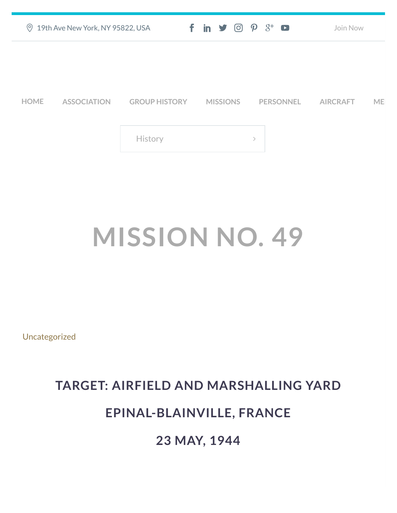| $\odot$<br>19th Ave New York, NY 95822, USA |                    |                      | $f$ in $\mathcal{S}$ $\odot$ $\odot$ $\beta^*$ $\Box$ |               | Join Now        |           |
|---------------------------------------------|--------------------|----------------------|-------------------------------------------------------|---------------|-----------------|-----------|
|                                             |                    |                      |                                                       |               |                 |           |
| <b>HOME</b>                                 | <b>ASSOCIATION</b> | <b>GROUP HISTORY</b> | <b>MISSIONS</b>                                       | PERSONNEL     | <b>AIRCRAFT</b> | <b>ME</b> |
|                                             |                    | History              |                                                       | $\rightarrow$ |                 |           |
|                                             |                    |                      |                                                       |               |                 |           |

## **MISSION NO. 49**

[Uncategorized](https://457thbombgroupassoc.org/category/uncategorized/)

## **TARGET: AIRFIELD AND MARSHALLING YARD**

## **EPINAL-BLAINVILLE, FRANCE**

**23 MAY, 1944**